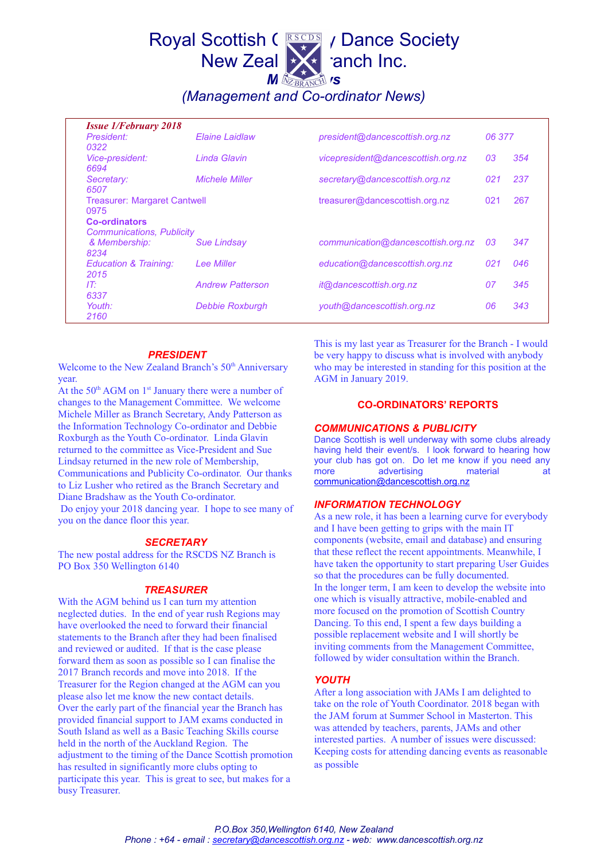# Royal Scottish CRESCES / Dance Society New Zeal  $\mathbf{z}$  anch Inc. **M EXPRANCE** 'S

*(Management and Co-ordinator News)*

| <b>Issue 1/February 2018</b>        |                         |                                    |        |     |
|-------------------------------------|-------------------------|------------------------------------|--------|-----|
| President:                          | <b>Elaine Laidlaw</b>   | president@dancescottish.org.nz     | 06 377 |     |
| 0322                                |                         |                                    |        |     |
| Vice-president:                     | Linda Glavin            | vicepresident@dancescottish.org.nz | 03     | 354 |
| 6694                                |                         |                                    |        |     |
| Secretary:                          | <b>Michele Miller</b>   | secretary@dancescottish.org.nz     | 021    | 237 |
| 6507                                |                         |                                    |        |     |
| <b>Treasurer: Margaret Cantwell</b> |                         | treasurer@dancescottish.org.nz     | 021    | 267 |
| 0975                                |                         |                                    |        |     |
| <b>Co-ordinators</b>                |                         |                                    |        |     |
| <b>Communications, Publicity</b>    |                         |                                    |        |     |
| & Membership:                       | <b>Sue Lindsay</b>      | communication@dancescottish.org.nz | 03     | 347 |
| 8234                                |                         |                                    |        |     |
| Education & Training:               | Lee Miller              | education@dancescottish.org.nz     | 021    | 046 |
| 2015                                |                         |                                    |        |     |
| IT:                                 | <b>Andrew Patterson</b> | it@dancescottish.org.nz            | 07     | 345 |
| 6337                                |                         |                                    |        |     |
| Youth:                              | <b>Debbie Roxburgh</b>  | youth@dancescottish.org.nz         | 06     | 343 |
| 2160                                |                         |                                    |        |     |

#### *PRESIDENT*

Welcome to the New Zealand Branch's  $50<sup>th</sup>$  Anniversary year.

At the  $50<sup>th</sup>$  AGM on  $1<sup>st</sup>$  January there were a number of changes to the Management Committee. We welcome Michele Miller as Branch Secretary, Andy Patterson as the Information Technology Co-ordinator and Debbie Roxburgh as the Youth Co-ordinator. Linda Glavin returned to the committee as Vice-President and Sue Lindsay returned in the new role of Membership, Communications and Publicity Co-ordinator. Our thanks to Liz Lusher who retired as the Branch Secretary and Diane Bradshaw as the Youth Co-ordinator. Do enjoy your 2018 dancing year. I hope to see many of you on the dance floor this year.

# *SECRETARY*

The new postal address for the RSCDS NZ Branch is PO Box 350 Wellington 6140

#### *TREASURER*

With the AGM behind us I can turn my attention neglected duties. In the end of year rush Regions may have overlooked the need to forward their financial statements to the Branch after they had been finalised and reviewed or audited. If that is the case please forward them as soon as possible so I can finalise the 2017 Branch records and move into 2018. If the Treasurer for the Region changed at the AGM can you please also let me know the new contact details. Over the early part of the financial year the Branch has provided financial support to JAM exams conducted in South Island as well as a Basic Teaching Skills course held in the north of the Auckland Region. The adjustment to the timing of the Dance Scottish promotion has resulted in significantly more clubs opting to participate this year. This is great to see, but makes for a busy Treasurer.

This is my last year as Treasurer for the Branch - I would be very happy to discuss what is involved with anybody who may be interested in standing for this position at the AGM in January 2019.

#### **CO-ORDINATORS' REPORTS**

# *COMMUNICATIONS & PUBLICITY*

Dance Scottish is well underway with some clubs already having held their event/s. I look forward to hearing how your club has got on. Do let me know if you need any more advertising material at [communication@dancescottish.org.nz](mailto:communication@dancescottish.org.nz)

# *INFORMATION TECHNOLOGY*

As a new role, it has been a learning curve for everybody and I have been getting to grips with the main IT components (website, email and database) and ensuring that these reflect the recent appointments. Meanwhile, I have taken the opportunity to start preparing User Guides so that the procedures can be fully documented. In the longer term, I am keen to develop the website into one which is visually attractive, mobile-enabled and more focused on the promotion of Scottish Country Dancing. To this end, I spent a few days building a possible replacement website and I will shortly be inviting comments from the Management Committee, followed by wider consultation within the Branch.

# *YOUTH*

After a long association with JAMs I am delighted to take on the role of Youth Coordinator. 2018 began with the JAM forum at Summer School in Masterton. This was attended by teachers, parents, JAMs and other interested parties. A number of issues were discussed: Keeping costs for attending dancing events as reasonable as possible